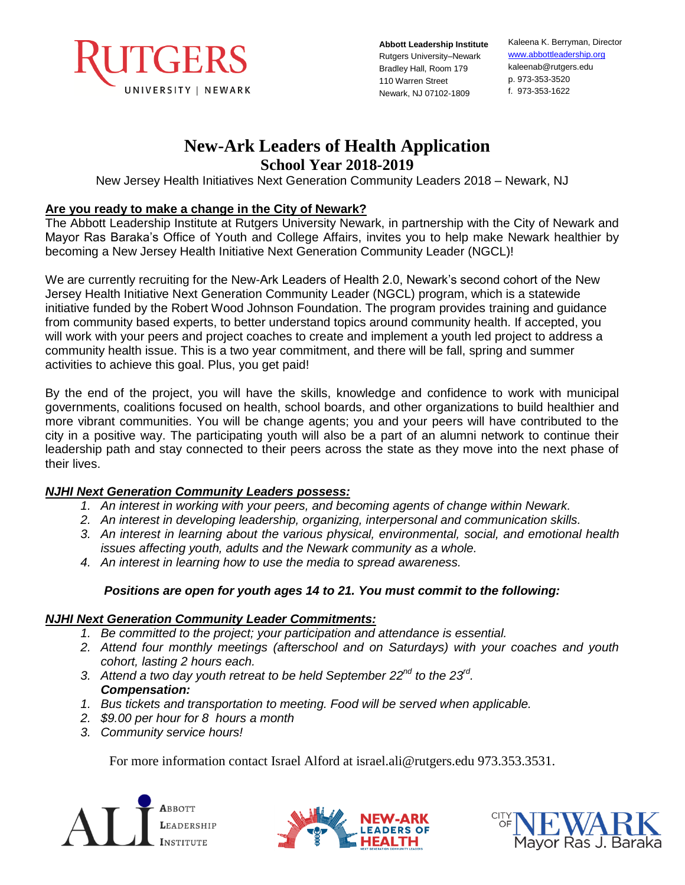

**Abbott Leadership Institute**  Rutgers University–Newark Bradley Hall, Room 179 110 Warren Street Newark, NJ 07102-1809

Kaleena K. Berryman, Director [www.abbottleadership.org](http://www.abbottleadership.org/) kaleenab@rutgers.edu p. 973-353-3520 f. 973-353-1622

# **New-Ark Leaders of Health Application**

**School Year 2018-2019** 

New Jersey Health Initiatives Next Generation Community Leaders 2018 – Newark, NJ

### **Are you ready to make a change in the City of Newark?**

The Abbott Leadership Institute at Rutgers University Newark, in partnership with the City of Newark and Mayor Ras Baraka's Office of Youth and College Affairs, invites you to help make Newark healthier by becoming a New Jersey Health Initiative Next Generation Community Leader (NGCL)!

We are currently recruiting for the New-Ark Leaders of Health 2.0, Newark's second cohort of the New Jersey Health Initiative Next Generation Community Leader (NGCL) program, which is a statewide initiative funded by the Robert Wood Johnson Foundation. The program provides training and guidance from community based experts, to better understand topics around community health. If accepted, you will work with your peers and project coaches to create and implement a youth led project to address a community health issue. This is a two year commitment, and there will be fall, spring and summer activities to achieve this goal. Plus, you get paid!

By the end of the project, you will have the skills, knowledge and confidence to work with municipal governments, coalitions focused on health, school boards, and other organizations to build healthier and more vibrant communities. You will be change agents; you and your peers will have contributed to the city in a positive way. The participating youth will also be a part of an alumni network to continue their leadership path and stay connected to their peers across the state as they move into the next phase of their lives.

# *NJHI Next Generation Community Leaders possess:*

- *1. An interest in working with your peers, and becoming agents of change within Newark.*
- *2. An interest in developing leadership, organizing, interpersonal and communication skills.*
- *3. An interest in learning about the various physical, environmental, social, and emotional health issues affecting youth, adults and the Newark community as a whole.*
- *4. An interest in learning how to use the media to spread awareness.*

# *Positions are open for youth ages 14 to 21. You must commit to the following:*

#### *NJHI Next Generation Community Leader Commitments:*

- *1. Be committed to the project; your participation and attendance is essential.*
- *2. Attend four monthly meetings (afterschool and on Saturdays) with your coaches and youth cohort, lasting 2 hours each.*
- *3. Attend a two day youth retreat to be held September 22nd to the 23rd . Compensation:*
- *1. Bus tickets and transportation to meeting. Food will be served when applicable.*
- *2. \$9.00 per hour for 8 hours a month*
- *3. Community service hours!*

For more information contact Israel Alford at israel.ali@rutgers.edu 973.353.3531.





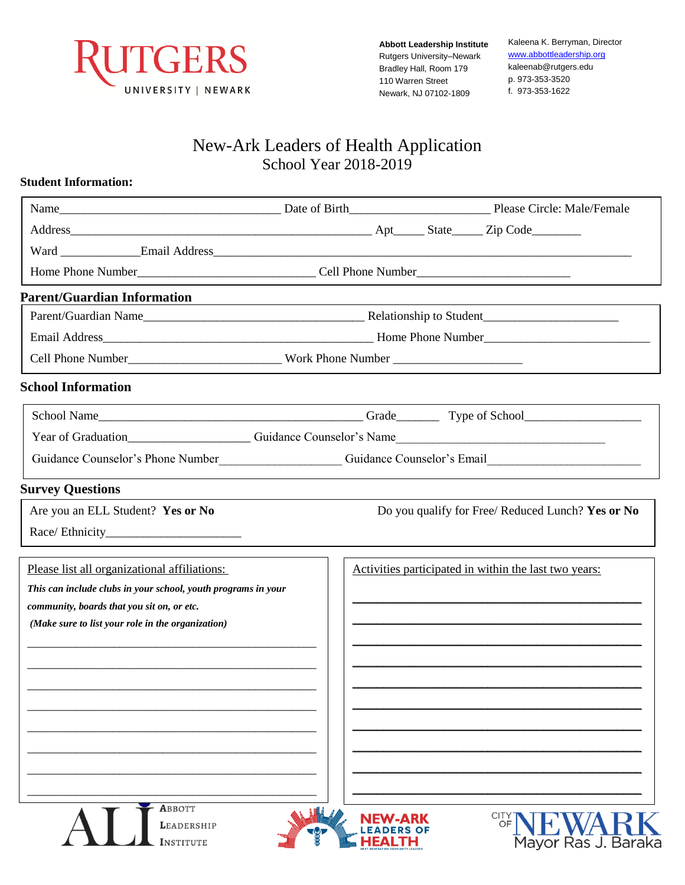

**Abbott Leadership Institute**  Rutgers University–Newark Bradley Hall, Room 179 110 Warren Street Newark, NJ 07102-1809

Kaleena K. Berryman, Director [www.abbottleadership.org](http://www.abbottleadership.org/) kaleenab@rutgers.edu p. 973-353-3520 f. 973-353-1622

# New-Ark Leaders of Health Application School Year 2018-2019

#### **Student Information:**

| Guidance Counselor's Phone Number<br>Counselor's Email |  |  |                                                                                                                                                                                                                                     |
|--------------------------------------------------------|--|--|-------------------------------------------------------------------------------------------------------------------------------------------------------------------------------------------------------------------------------------|
|                                                        |  |  |                                                                                                                                                                                                                                     |
|                                                        |  |  | Do you qualify for Free/ Reduced Lunch? Yes or No                                                                                                                                                                                   |
|                                                        |  |  |                                                                                                                                                                                                                                     |
|                                                        |  |  | Activities participated in within the last two years:                                                                                                                                                                               |
|                                                        |  |  |                                                                                                                                                                                                                                     |
|                                                        |  |  |                                                                                                                                                                                                                                     |
|                                                        |  |  |                                                                                                                                                                                                                                     |
|                                                        |  |  |                                                                                                                                                                                                                                     |
|                                                        |  |  |                                                                                                                                                                                                                                     |
|                                                        |  |  |                                                                                                                                                                                                                                     |
|                                                        |  |  |                                                                                                                                                                                                                                     |
|                                                        |  |  |                                                                                                                                                                                                                                     |
|                                                        |  |  |                                                                                                                                                                                                                                     |
|                                                        |  |  |                                                                                                                                                                                                                                     |
|                                                        |  |  |                                                                                                                                                                                                                                     |
|                                                        |  |  | <b>CITY</b>                                                                                                                                                                                                                         |
|                                                        |  |  | Name <b>Manne</b> Manne Manne Manne Manne Manne Manne Manne Manne Manne Manne Manne Manne Manne Manne Manne Manne Manne Manne Manne Manne Manne Manne Manne Manne Manne Manne Manne Manne Manne Manne Manne Manne Manne Manne Manne |